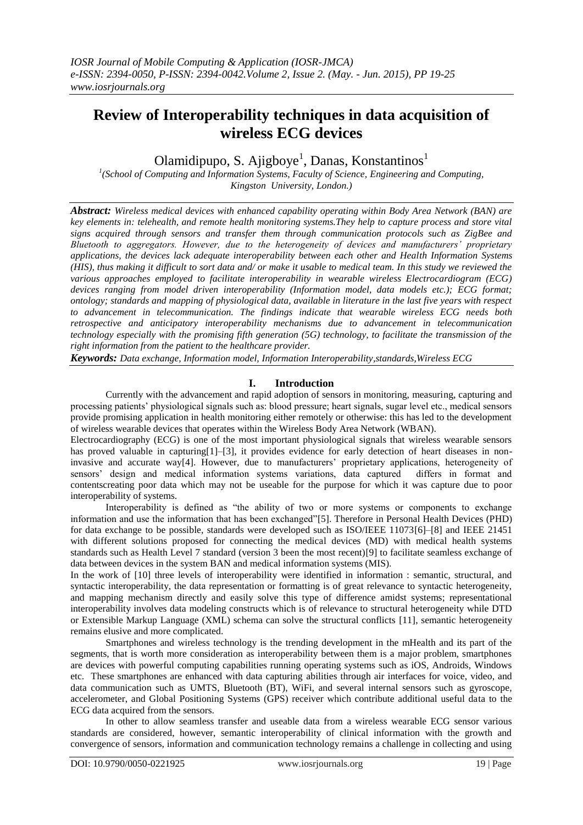# **Review of Interoperability techniques in data acquisition of wireless ECG devices**

Olamidipupo, S. Ajigboye<sup>1</sup>, Danas, Konstantinos<sup>1</sup>

*1 (School of Computing and Information Systems, Faculty of Science, Engineering and Computing, Kingston University, London.)*

*Abstract: Wireless medical devices with enhanced capability operating within Body Area Network (BAN) are key elements in: telehealth, and remote health monitoring systems.They help to capture process and store vital signs acquired through sensors and transfer them through communication protocols such as ZigBee and Bluetooth to aggregators. However, due to the heterogeneity of devices and manufacturers' proprietary applications, the devices lack adequate interoperability between each other and Health Information Systems (HIS), thus making it difficult to sort data and/ or make it usable to medical team. In this study we reviewed the various approaches employed to facilitate interoperability in wearable wireless Electrocardiogram (ECG) devices ranging from model driven interoperability (Information model, data models etc.); ECG format; ontology; standards and mapping of physiological data, available in literature in the last five years with respect to advancement in telecommunication. The findings indicate that wearable wireless ECG needs both retrospective and anticipatory interoperability mechanisms due to advancement in telecommunication technology especially with the promising fifth generation (5G) technology, to facilitate the transmission of the right information from the patient to the healthcare provider.*

*Keywords: Data exchange, Information model, Information Interoperability,standards,Wireless ECG*

## **I. Introduction**

Currently with the advancement and rapid adoption of sensors in monitoring, measuring, capturing and processing patients' physiological signals such as: blood pressure; heart signals, sugar level etc., medical sensors provide promising application in health monitoring either remotely or otherwise: this has led to the development of wireless wearable devices that operates within the Wireless Body Area Network (WBAN).

Electrocardiography (ECG) is one of the most important physiological signals that wireless wearable sensors has proved valuable in capturing [1]–[3], it provides evidence for early detection of heart diseases in noninvasive and accurate way[4]. However, due to manufacturers' proprietary applications, heterogeneity of sensors' design and medical information systems variations, data captured differs in format and contentscreating poor data which may not be useable for the purpose for which it was capture due to poor interoperability of systems.

Interoperability is defined as "the ability of two or more systems or components to exchange information and use the information that has been exchanged"[5]. Therefore in Personal Health Devices (PHD) for data exchange to be possible, standards were developed such as ISO/IEEE 11073[6]–[8] and IEEE 21451 with different solutions proposed for connecting the medical devices (MD) with medical health systems standards such as Health Level 7 standard (version 3 been the most recent)[9] to facilitate seamless exchange of data between devices in the system BAN and medical information systems (MIS).

In the work of [10] three levels of interoperability were identified in information : semantic, structural, and syntactic interoperability, the data representation or formatting is of great relevance to syntactic heterogeneity, and mapping mechanism directly and easily solve this type of difference amidst systems; representational interoperability involves data modeling constructs which is of relevance to structural heterogeneity while DTD or Extensible Markup Language (XML) schema can solve the structural conflicts [11], semantic heterogeneity remains elusive and more complicated.

Smartphones and wireless technology is the trending development in the mHealth and its part of the segments, that is worth more consideration as interoperability between them is a major problem, smartphones are devices with powerful computing capabilities running operating systems such as iOS, Androids, Windows etc. These smartphones are enhanced with data capturing abilities through air interfaces for voice, video, and data communication such as UMTS, Bluetooth (BT), WiFi, and several internal sensors such as gyroscope, accelerometer, and Global Positioning Systems (GPS) receiver which contribute additional useful data to the ECG data acquired from the sensors.

In other to allow seamless transfer and useable data from a wireless wearable ECG sensor various standards are considered, however, semantic interoperability of clinical information with the growth and convergence of sensors, information and communication technology remains a challenge in collecting and using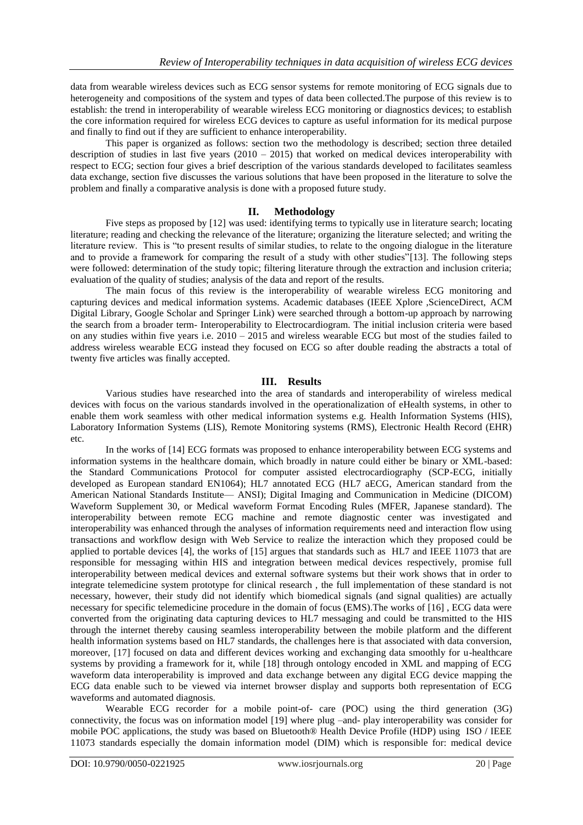data from wearable wireless devices such as ECG sensor systems for remote monitoring of ECG signals due to heterogeneity and compositions of the system and types of data been collected.The purpose of this review is to establish: the trend in interoperability of wearable wireless ECG monitoring or diagnostics devices; to establish the core information required for wireless ECG devices to capture as useful information for its medical purpose and finally to find out if they are sufficient to enhance interoperability.

This paper is organized as follows: section two the methodology is described; section three detailed description of studies in last five years (2010 – 2015) that worked on medical devices interoperability with respect to ECG; section four gives a brief description of the various standards developed to facilitates seamless data exchange, section five discusses the various solutions that have been proposed in the literature to solve the problem and finally a comparative analysis is done with a proposed future study.

#### **II. Methodology**

Five steps as proposed by [12] was used: identifying terms to typically use in literature search; locating literature; reading and checking the relevance of the literature; organizing the literature selected; and writing the literature review. This is "to present results of similar studies, to relate to the ongoing dialogue in the literature and to provide a framework for comparing the result of a study with other studies"[13]. The following steps were followed: determination of the study topic; filtering literature through the extraction and inclusion criteria; evaluation of the quality of studies; analysis of the data and report of the results.

The main focus of this review is the interoperability of wearable wireless ECG monitoring and capturing devices and medical information systems. Academic databases (IEEE Xplore ,ScienceDirect, ACM Digital Library, Google Scholar and Springer Link) were searched through a bottom-up approach by narrowing the search from a broader term- Interoperability to Electrocardiogram. The initial inclusion criteria were based on any studies within five years i.e. 2010 – 2015 and wireless wearable ECG but most of the studies failed to address wireless wearable ECG instead they focused on ECG so after double reading the abstracts a total of twenty five articles was finally accepted.

#### **III. Results**

Various studies have researched into the area of standards and interoperability of wireless medical devices with focus on the various standards involved in the operationalization of eHealth systems, in other to enable them work seamless with other medical information systems e.g. Health Information Systems (HIS), Laboratory Information Systems (LIS), Remote Monitoring systems (RMS), Electronic Health Record (EHR) etc.

In the works of [14] ECG formats was proposed to enhance interoperability between ECG systems and information systems in the healthcare domain, which broadly in nature could either be binary or XML-based: the Standard Communications Protocol for computer assisted electrocardiography (SCP-ECG, initially developed as European standard EN1064); HL7 annotated ECG (HL7 aECG, American standard from the American National Standards Institute— ANSI); Digital Imaging and Communication in Medicine (DICOM) Waveform Supplement 30, or Medical waveform Format Encoding Rules (MFER, Japanese standard). The interoperability between remote ECG machine and remote diagnostic center was investigated and interoperability was enhanced through the analyses of information requirements need and interaction flow using transactions and workflow design with Web Service to realize the interaction which they proposed could be applied to portable devices [4], the works of [15] argues that standards such as HL7 and IEEE 11073 that are responsible for messaging within HIS and integration between medical devices respectively, promise full interoperability between medical devices and external software systems but their work shows that in order to integrate telemedicine system prototype for clinical research , the full implementation of these standard is not necessary, however, their study did not identify which biomedical signals (and signal qualities) are actually necessary for specific telemedicine procedure in the domain of focus (EMS).The works of [16] , ECG data were converted from the originating data capturing devices to HL7 messaging and could be transmitted to the HIS through the internet thereby causing seamless interoperability between the mobile platform and the different health information systems based on HL7 standards, the challenges here is that associated with data conversion, moreover, [17] focused on data and different devices working and exchanging data smoothly for u-healthcare systems by providing a framework for it, while [18] through ontology encoded in XML and mapping of ECG waveform data interoperability is improved and data exchange between any digital ECG device mapping the ECG data enable such to be viewed via internet browser display and supports both representation of ECG waveforms and automated diagnosis.

Wearable ECG recorder for a mobile point-of- care (POC) using the third generation (3G) connectivity, the focus was on information model [19] where plug –and- play interoperability was consider for mobile POC applications, the study was based on Bluetooth® Health Device Profile (HDP) using ISO / IEEE 11073 standards especially the domain information model (DIM) which is responsible for: medical device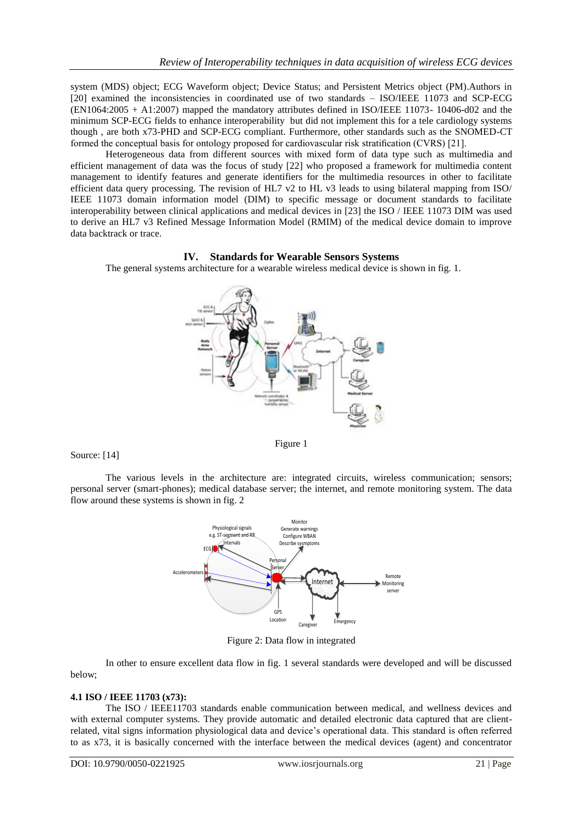system (MDS) object; ECG Waveform object; Device Status; and Persistent Metrics object (PM).Authors in [20] examined the inconsistencies in coordinated use of two standards – ISO/IEEE 11073 and SCP-ECG (EN1064:2005 + A1:2007) mapped the mandatory attributes defined in ISO/IEEE 11073- 10406-d02 and the minimum SCP-ECG fields to enhance interoperability but did not implement this for a tele cardiology systems though , are both x73-PHD and SCP-ECG compliant. Furthermore, other standards such as the SNOMED-CT formed the conceptual basis for ontology proposed for cardiovascular risk stratification (CVRS) [21].

Heterogeneous data from different sources with mixed form of data type such as multimedia and efficient management of data was the focus of study [22] who proposed a framework for multimedia content management to identify features and generate identifiers for the multimedia resources in other to facilitate efficient data query processing. The revision of HL7 v2 to HL v3 leads to using bilateral mapping from ISO/ IEEE 11073 domain information model (DIM) to specific message or document standards to facilitate interoperability between clinical applications and medical devices in [23] the ISO / IEEE 11073 DIM was used to derive an HL7 v3 Refined Message Information Model (RMIM) of the medical device domain to improve data backtrack or trace.

## **IV. Standards for Wearable Sensors Systems**



The general systems architecture for a wearable wireless medical device is shown in fig. 1.

#### Source: [14]

The various levels in the architecture are: integrated circuits, wireless communication; sensors; personal server (smart-phones); medical database server; the internet, and remote monitoring system. The data flow around these systems is shown in fig. 2



Figure 2: Data flow in integrated

In other to ensure excellent data flow in fig. 1 several standards were developed and will be discussed below;

## **4.1 ISO / IEEE 11703 (x73):**

The ISO / IEEE11703 standards enable communication between medical, and wellness devices and with external computer systems. They provide automatic and detailed electronic data captured that are clientrelated, vital signs information physiological data and device's operational data. This standard is often referred to as x73, it is basically concerned with the interface between the medical devices (agent) and concentrator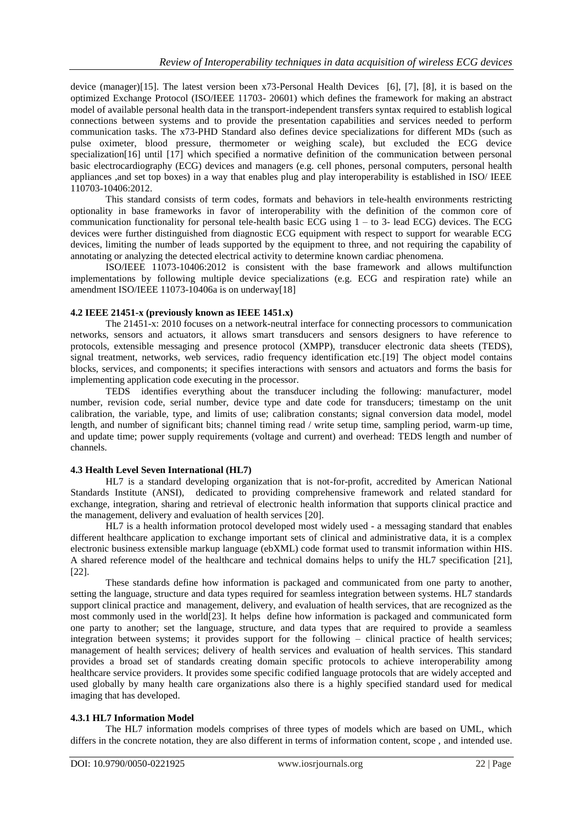device (manager)[15]. The latest version been x73-Personal Health Devices [6], [7], [8], it is based on the optimized Exchange Protocol (ISO/IEEE 11703- 20601) which defines the framework for making an abstract model of available personal health data in the transport-independent transfers syntax required to establish logical connections between systems and to provide the presentation capabilities and services needed to perform communication tasks. The x73-PHD Standard also defines device specializations for different MDs (such as pulse oximeter, blood pressure, thermometer or weighing scale), but excluded the ECG device specialization[16] until [17] which specified a normative definition of the communication between personal basic electrocardiography (ECG) devices and managers (e.g. cell phones, personal computers, personal health appliances ,and set top boxes) in a way that enables plug and play interoperability is established in ISO/ IEEE 110703-10406:2012.

This standard consists of term codes, formats and behaviors in tele-health environments restricting optionality in base frameworks in favor of interoperability with the definition of the common core of communication functionality for personal tele-health basic ECG using  $1 -$  to 3- lead ECG) devices. The ECG devices were further distinguished from diagnostic ECG equipment with respect to support for wearable ECG devices, limiting the number of leads supported by the equipment to three, and not requiring the capability of annotating or analyzing the detected electrical activity to determine known cardiac phenomena.

ISO/IEEE 11073-10406:2012 is consistent with the base framework and allows multifunction implementations by following multiple device specializations (e.g. ECG and respiration rate) while an amendment ISO/IEEE 11073-10406a is on underway[18]

#### **4.2 IEEE 21451-x (previously known as IEEE 1451.x)**

The 21451-x: 2010 focuses on a network-neutral interface for connecting processors to communication networks, sensors and actuators, it allows smart transducers and sensors designers to have reference to protocols, extensible messaging and presence protocol (XMPP), transducer electronic data sheets (TEDS), signal treatment, networks, web services, radio frequency identification etc. [19] The object model contains blocks, services, and components; it specifies interactions with sensors and actuators and forms the basis for implementing application code executing in the processor.

TEDS identifies everything about the transducer including the following: manufacturer, model number, revision code, serial number, device type and date code for transducers; timestamp on the unit calibration, the variable, type, and limits of use; calibration constants; signal conversion data model, model length, and number of significant bits; channel timing read / write setup time, sampling period, warm-up time, and update time; power supply requirements (voltage and current) and overhead: TEDS length and number of channels.

#### **4.3 Health Level Seven International (HL7)**

HL7 is a standard developing organization that is not-for-profit, accredited by American National Standards Institute (ANSI), dedicated to providing comprehensive framework and related standard for exchange, integration, sharing and retrieval of electronic health information that supports clinical practice and the management, delivery and evaluation of health services [20].

HL7 is a health information protocol developed most widely used - a messaging standard that enables different healthcare application to exchange important sets of clinical and administrative data, it is a complex electronic business extensible markup language (ebXML) code format used to transmit information within HIS. A shared reference model of the healthcare and technical domains helps to unify the HL7 specification [21], [22].

These standards define how information is packaged and communicated from one party to another, setting the language, structure and data types required for seamless integration between systems. HL7 standards support clinical practice and management, delivery, and evaluation of health services, that are recognized as the most commonly used in the world[23]. It helps define how information is packaged and communicated form one party to another; set the language, structure, and data types that are required to provide a seamless integration between systems; it provides support for the following – clinical practice of health services; management of health services; delivery of health services and evaluation of health services. This standard provides a broad set of standards creating domain specific protocols to achieve interoperability among healthcare service providers. It provides some specific codified language protocols that are widely accepted and used globally by many health care organizations also there is a highly specified standard used for medical imaging that has developed.

## **4.3.1 HL7 Information Model**

The HL7 information models comprises of three types of models which are based on UML, which differs in the concrete notation, they are also different in terms of information content, scope , and intended use.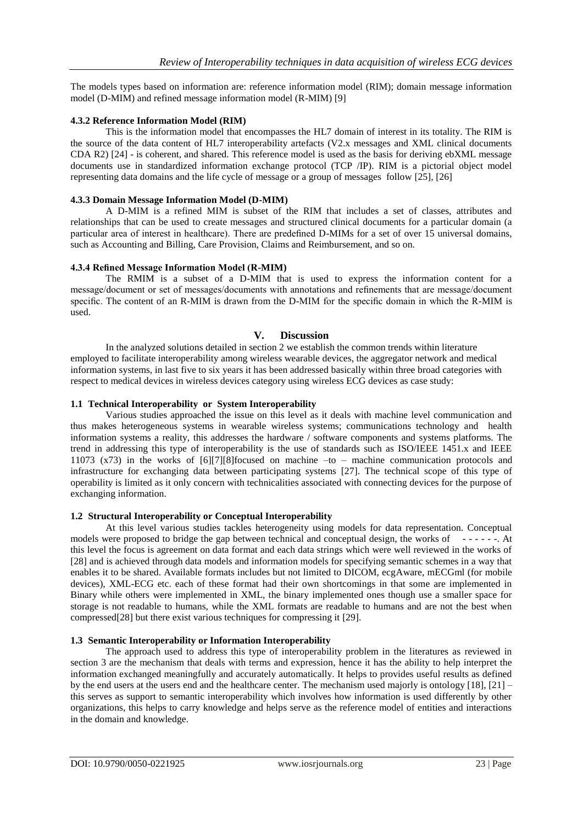The models types based on information are: reference information model (RIM); domain message information model (D-MIM) and refined message information model (R-MIM) [9]

## **4.3.2 Reference Information Model (RIM)**

This is the information model that encompasses the HL7 domain of interest in its totality. The RIM is the source of the data content of HL7 interoperability artefacts (V2.x messages and XML clinical documents CDA R2) [24] - is coherent, and shared. This reference model is used as the basis for deriving ebXML message documents use in standardized information exchange protocol (TCP /IP). RIM is a pictorial object model representing data domains and the life cycle of message or a group of messages follow [25], [26]

#### **4.3.3 Domain Message Information Model (D-MIM)**

A D-MIM is a refined MIM is subset of the RIM that includes a set of classes, attributes and relationships that can be used to create messages and structured clinical documents for a particular domain (a particular area of interest in healthcare). There are predefined D-MIMs for a set of over 15 universal domains, such as Accounting and Billing, Care Provision, Claims and Reimbursement, and so on.

## **4.3.4 Refined Message Information Model (R-MIM)**

The RMIM is a subset of a D-MIM that is used to express the information content for a message/document or set of messages/documents with annotations and refinements that are message/document specific. The content of an R-MIM is drawn from the D-MIM for the specific domain in which the R-MIM is used.

## **V. Discussion**

In the analyzed solutions detailed in section 2 we establish the common trends within literature employed to facilitate interoperability among wireless wearable devices, the aggregator network and medical information systems, in last five to six years it has been addressed basically within three broad categories with respect to medical devices in wireless devices category using wireless ECG devices as case study:

#### **1.1 Technical Interoperability or System Interoperability**

Various studies approached the issue on this level as it deals with machine level communication and thus makes heterogeneous systems in wearable wireless systems; communications technology and health information systems a reality, this addresses the hardware / software components and systems platforms. The trend in addressing this type of interoperability is the use of standards such as ISO/IEEE 1451.x and IEEE 11073 (x73) in the works of [6][7][8]focused on machine –to – machine communication protocols and infrastructure for exchanging data between participating systems [27]. The technical scope of this type of operability is limited as it only concern with technicalities associated with connecting devices for the purpose of exchanging information.

## **1.2 Structural Interoperability or Conceptual Interoperability**

At this level various studies tackles heterogeneity using models for data representation. Conceptual models were proposed to bridge the gap between technical and conceptual design, the works of - - - - - -. At this level the focus is agreement on data format and each data strings which were well reviewed in the works of [28] and is achieved through data models and information models for specifying semantic schemes in a way that enables it to be shared. Available formats includes but not limited to DICOM, ecgAware, mECGml (for mobile devices), XML-ECG etc. each of these format had their own shortcomings in that some are implemented in Binary while others were implemented in XML, the binary implemented ones though use a smaller space for storage is not readable to humans, while the XML formats are readable to humans and are not the best when compressed[28] but there exist various techniques for compressing it [29].

#### **1.3 Semantic Interoperability or Information Interoperability**

The approach used to address this type of interoperability problem in the literatures as reviewed in section 3 are the mechanism that deals with terms and expression, hence it has the ability to help interpret the information exchanged meaningfully and accurately automatically. It helps to provides useful results as defined by the end users at the users end and the healthcare center. The mechanism used majorly is ontology [18], [21] – this serves as support to semantic interoperability which involves how information is used differently by other organizations, this helps to carry knowledge and helps serve as the reference model of entities and interactions in the domain and knowledge.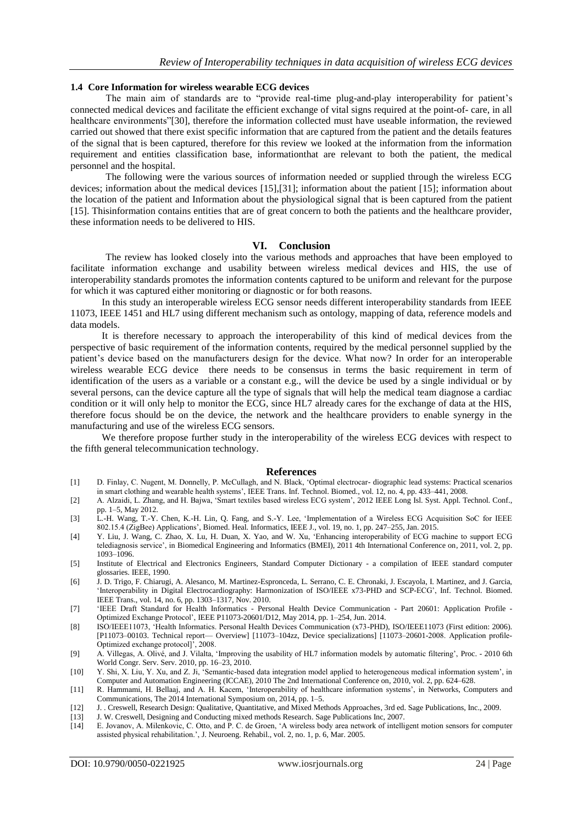#### **1.4 Core Information for wireless wearable ECG devices**

The main aim of standards are to "provide real-time plug-and-play interoperability for patient's connected medical devices and facilitate the efficient exchange of vital signs required at the point-of- care, in all healthcare environments"[30], therefore the information collected must have useable information, the reviewed carried out showed that there exist specific information that are captured from the patient and the details features of the signal that is been captured, therefore for this review we looked at the information from the information requirement and entities classification base, informationthat are relevant to both the patient, the medical personnel and the hospital.

The following were the various sources of information needed or supplied through the wireless ECG devices; information about the medical devices [15],[31]; information about the patient [15]; information about the location of the patient and Information about the physiological signal that is been captured from the patient [15]. Thisinformation contains entities that are of great concern to both the patients and the healthcare provider, these information needs to be delivered to HIS.

#### **VI. Conclusion**

The review has looked closely into the various methods and approaches that have been employed to facilitate information exchange and usability between wireless medical devices and HIS, the use of interoperability standards promotes the information contents captured to be uniform and relevant for the purpose for which it was captured either monitoring or diagnostic or for both reasons.

In this study an interoperable wireless ECG sensor needs different interoperability standards from IEEE 11073, IEEE 1451 and HL7 using different mechanism such as ontology, mapping of data, reference models and data models.

It is therefore necessary to approach the interoperability of this kind of medical devices from the perspective of basic requirement of the information contents, required by the medical personnel supplied by the patient's device based on the manufacturers design for the device. What now? In order for an interoperable wireless wearable ECG device there needs to be consensus in terms the basic requirement in term of identification of the users as a variable or a constant e.g., will the device be used by a single individual or by several persons, can the device capture all the type of signals that will help the medical team diagnose a cardiac condition or it will only help to monitor the ECG, since HL7 already cares for the exchange of data at the HIS, therefore focus should be on the device, the network and the healthcare providers to enable synergy in the manufacturing and use of the wireless ECG sensors.

We therefore propose further study in the interoperability of the wireless ECG devices with respect to the fifth general telecommunication technology.

#### **References**

- [1] D. Finlay, C. Nugent, M. Donnelly, P. McCullagh, and N. Black, ‗Optimal electrocar- diographic lead systems: Practical scenarios in smart clothing and wearable health systems', IEEE Trans. Inf. Technol. Biomed., vol. 12, no. 4, pp. 433–441, 2008.
- [2] A. Alzaidi, L. Zhang, and H. Bajwa, 'Smart textiles based wireless ECG system', 2012 IEEE Long Isl. Syst. Appl. Technol. Conf., pp. 1–5, May 2012.
- [3] L.-H. Wang, T.-Y. Chen, K.-H. Lin, Q. Fang, and S.-Y. Lee, ‗Implementation of a Wireless ECG Acquisition SoC for IEEE 802.15.4 (ZigBee) Applications', Biomed. Heal. Informatics, IEEE J., vol. 19, no. 1, pp. 247–255, Jan. 2015.
- [4] Y. Liu, J. Wang, C. Zhao, X. Lu, H. Duan, X. Yao, and W. Xu, ‗Enhancing interoperability of ECG machine to support ECG telediagnosis service', in Biomedical Engineering and Informatics (BMEI), 2011 4th International Conference on, 2011, vol. 2, pp. 1093–1096.
- [5] Institute of Electrical and Electronics Engineers, Standard Computer Dictionary a compilation of IEEE standard computer glossaries. IEEE, 1990.
- [6] J. D. Trigo, F. Chiarugi, A. Alesanco, M. Martinez-Espronceda, L. Serrano, C. E. Chronaki, J. Escayola, I. Martinez, and J. Garcia, 'Interoperability in Digital Electrocardiography: Harmonization of ISO/IEEE x73-PHD and SCP-ECG', Inf. Technol. Biomed. IEEE Trans., vol. 14, no. 6, pp. 1303–1317, Nov. 2010.
- [7] 'IEEE Draft Standard for Health Informatics Personal Health Device Communication Part 20601: Application Profile -Optimized Exchange Protocol', IEEE P11073-20601/D12, May 2014, pp. 1–254, Jun. 2014.
- [8] ISO/IEEE11073, ‗Health Informatics. Personal Health Devices Communication (x73-PHD), ISO/IEEE11073 (First edition: 2006). [P11073–00103. Technical report— Overview] [11073–104zz, Device specializations] [11073–20601-2008. Application profile-Optimized exchange protocol]', 2008.
- [9] A. Villegas, A. Olivé, and J. Vilalta, ‗Improving the usability of HL7 information models by automatic filtering', Proc. 2010 6th World Congr. Serv. Serv. 2010, pp. 16–23, 2010.
- [10] Y. Shi, X. Liu, Y. Xu, and Z. Ji, ‗Semantic-based data integration model applied to heterogeneous medical information system', in Computer and Automation Engineering (ICCAE), 2010 The 2nd International Conference on, 2010, vol. 2, pp. 624–628.
- [11] R. Hammami, H. Bellaaj, and A. H. Kacem, ‗Interoperability of healthcare information systems', in Networks, Computers and Communications, The 2014 International Symposium on, 2014, pp. 1–5.
- [12] J. . Creswell, Research Design: Qualitative, Quantitative, and Mixed Methods Approaches, 3rd ed. Sage Publications, Inc., 2009.
- [13] J. W. Creswell, Designing and Conducting mixed methods Research. Sage Publications Inc, 2007.
- [14] E. Jovanov, A. Milenkovic, C. Otto, and P. C. de Groen, ‗A wireless body area network of intelligent motion sensors for computer assisted physical rehabilitation.', J. Neuroeng. Rehabil., vol. 2, no. 1, p. 6, Mar. 2005.